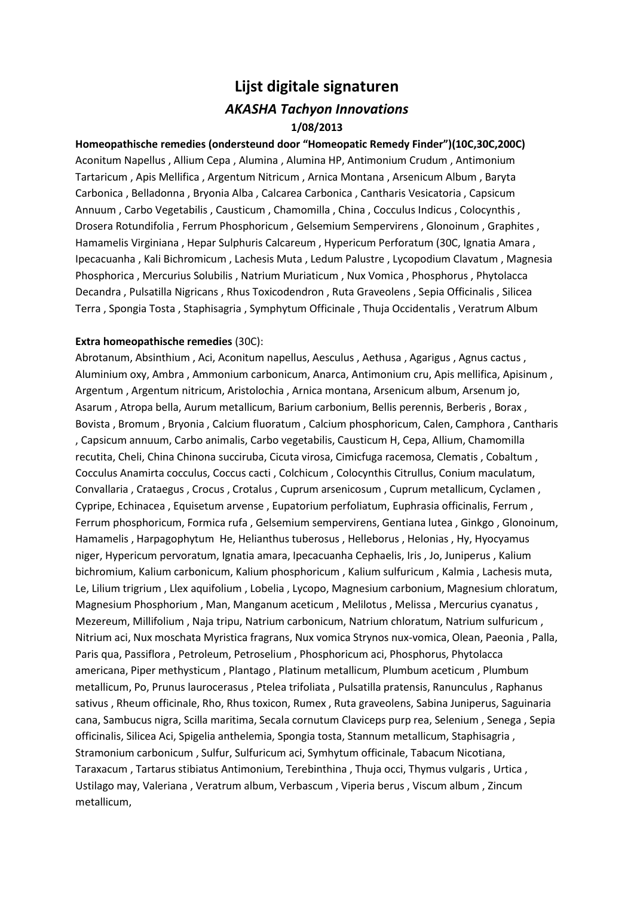## **Lijst digitale signaturen** *AKASHA Tachyon Innovations* **1/08/2013**

### **Homeopathische remedies (ondersteund door "Homeopatic Remedy Finder")(10C,30C,200C)**

Aconitum Napellus , Allium Cepa , Alumina , Alumina HP, Antimonium Crudum , Antimonium Tartaricum , Apis Mellifica , Argentum Nitricum , Arnica Montana , Arsenicum Album , Baryta Carbonica , Belladonna , Bryonia Alba , Calcarea Carbonica , Cantharis Vesicatoria , Capsicum Annuum , Carbo Vegetabilis , Causticum , Chamomilla , China , Cocculus Indicus , Colocynthis , Drosera Rotundifolia , Ferrum Phosphoricum , Gelsemium Sempervirens , Glonoinum , Graphites , Hamamelis Virginiana , Hepar Sulphuris Calcareum , Hypericum Perforatum (30C, Ignatia Amara , Ipecacuanha , Kali Bichromicum , Lachesis Muta , Ledum Palustre , Lycopodium Clavatum , Magnesia Phosphorica , Mercurius Solubilis , Natrium Muriaticum , Nux Vomica , Phosphorus , Phytolacca Decandra , Pulsatilla Nigricans , Rhus Toxicodendron , Ruta Graveolens , Sepia Officinalis , Silicea Terra , Spongia Tosta , Staphisagria , Symphytum Officinale , Thuja Occidentalis , Veratrum Album

#### **Extra homeopathische remedies** (30C):

Abrotanum, Absinthium , Aci, Aconitum napellus, Aesculus , Aethusa , Agarigus , Agnus cactus , Aluminium oxy, Ambra , Ammonium carbonicum, Anarca, Antimonium cru, Apis mellifica, Apisinum , Argentum , Argentum nitricum, Aristolochia , Arnica montana, Arsenicum album, Arsenum jo, Asarum , Atropa bella, Aurum metallicum, Barium carbonium, Bellis perennis, Berberis , Borax , Bovista , Bromum , Bryonia , Calcium fluoratum , Calcium phosphoricum, Calen, Camphora , Cantharis , Capsicum annuum, Carbo animalis, Carbo vegetabilis, Causticum H, Cepa, Allium, Chamomilla recutita, Cheli, China Chinona succiruba, Cicuta virosa, Cimicfuga racemosa, Clematis , Cobaltum , Cocculus Anamirta cocculus, Coccus cacti , Colchicum , Colocynthis Citrullus, Conium maculatum, Convallaria , Crataegus , Crocus , Crotalus , Cuprum arsenicosum , Cuprum metallicum, Cyclamen , Cypripe, Echinacea , Equisetum arvense , Eupatorium perfoliatum, Euphrasia officinalis, Ferrum , Ferrum phosphoricum, Formica rufa , Gelsemium sempervirens, Gentiana lutea , Ginkgo , Glonoinum, Hamamelis , Harpagophytum He, Helianthus tuberosus , Helleborus , Helonias , Hy, Hyocyamus niger, Hypericum pervoratum, Ignatia amara, Ipecacuanha Cephaelis, Iris , Jo, Juniperus , Kalium bichromium, Kalium carbonicum, Kalium phosphoricum , Kalium sulfuricum , Kalmia , Lachesis muta, Le, Lilium trigrium , Llex aquifolium , Lobelia , Lycopo, Magnesium carbonium, Magnesium chloratum, Magnesium Phosphorium , Man, Manganum aceticum , Melilotus , Melissa , Mercurius cyanatus , Mezereum, Millifolium , Naja tripu, Natrium carbonicum, Natrium chloratum, Natrium sulfuricum , Nitrium aci, Nux moschata Myristica fragrans, Nux vomica Strynos nux-vomica, Olean, Paeonia , Palla, Paris qua, Passiflora , Petroleum, Petroselium , Phosphoricum aci, Phosphorus, Phytolacca americana, Piper methysticum , Plantago , Platinum metallicum, Plumbum aceticum , Plumbum metallicum, Po, Prunus laurocerasus , Ptelea trifoliata , Pulsatilla pratensis, Ranunculus , Raphanus sativus , Rheum officinale, Rho, Rhus toxicon, Rumex , Ruta graveolens, Sabina Juniperus, Saguinaria cana, Sambucus nigra, Scilla maritima, Secala cornutum Claviceps purp rea, Selenium , Senega , Sepia officinalis, Silicea Aci, Spigelia anthelemia, Spongia tosta, Stannum metallicum, Staphisagria , Stramonium carbonicum , Sulfur, Sulfuricum aci, Symhytum officinale, Tabacum Nicotiana, Taraxacum , Tartarus stibiatus Antimonium, Terebinthina , Thuja occi, Thymus vulgaris , Urtica , Ustilago may, Valeriana , Veratrum album, Verbascum , Viperia berus , Viscum album , Zincum metallicum,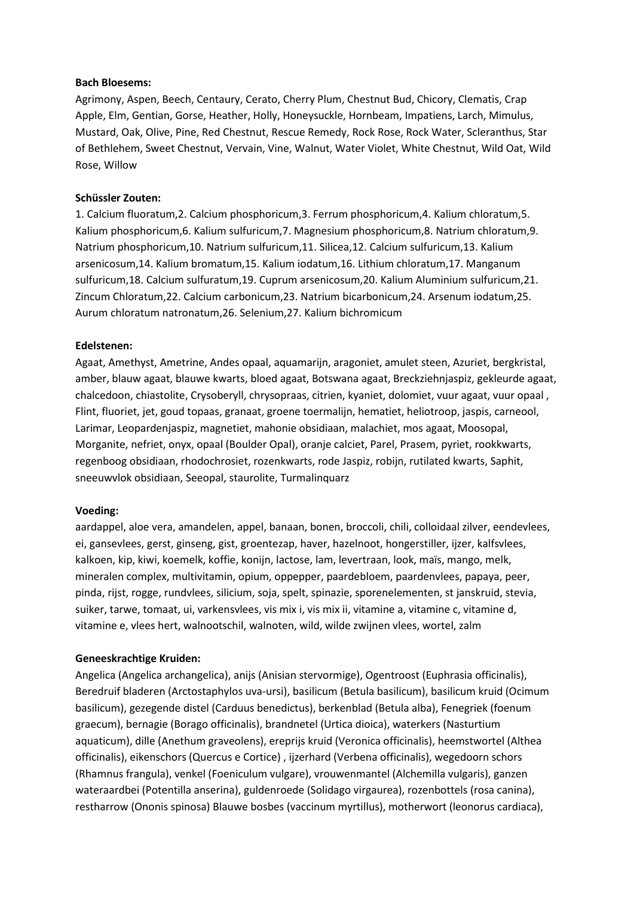## **Bach Bloesems:**

Agrimony, Aspen, Beech, Centaury, Cerato, Cherry Plum, Chestnut Bud, Chicory, Clematis, Crap Apple, Elm, Gentian, Gorse, Heather, Holly, Honeysuckle, Hornbeam, Impatiens, Larch, Mimulus, Mustard, Oak, Olive, Pine, Red Chestnut, Rescue Remedy, Rock Rose, Rock Water, Scleranthus, Star of Bethlehem, Sweet Chestnut, Vervain, Vine, Walnut, Water Violet, White Chestnut, Wild Oat, Wild Rose, Willow

## **Schüssler Zouten:**

1. Calcium fluoratum,2. Calcium phosphoricum,3. Ferrum phosphoricum,4. Kalium chloratum,5. Kalium phosphoricum,6. Kalium sulfuricum,7. Magnesium phosphoricum,8. Natrium chloratum,9. Natrium phosphoricum,10. Natrium sulfuricum,11. Silicea,12. Calcium sulfuricum,13. Kalium arsenicosum,14. Kalium bromatum,15. Kalium iodatum,16. Lithium chloratum,17. Manganum sulfuricum,18. Calcium sulfuratum,19. Cuprum arsenicosum,20. Kalium Aluminium sulfuricum,21. Zincum Chloratum,22. Calcium carbonicum,23. Natrium bicarbonicum,24. Arsenum iodatum,25. Aurum chloratum natronatum,26. Selenium,27. Kalium bichromicum

### **Edelstenen:**

Agaat, Amethyst, Ametrine, Andes opaal, aquamarijn, aragoniet, amulet steen, Azuriet, bergkristal, amber, blauw agaat, blauwe kwarts, bloed agaat, Botswana agaat, Breckziehnjaspiz, gekleurde agaat, chalcedoon, chiastolite, Crysoberyll, chrysopraas, citrien, kyaniet, dolomiet, vuur agaat, vuur opaal , Flint, fluoriet, jet, goud topaas, granaat, groene toermalijn, hematiet, heliotroop, jaspis, carneool, Larimar, Leopardenjaspiz, magnetiet, mahonie obsidiaan, malachiet, mos agaat, Moosopal, Morganite, nefriet, onyx, opaal (Boulder Opal), oranje calciet, Parel, Prasem, pyriet, rookkwarts, regenboog obsidiaan, rhodochrosiet, rozenkwarts, rode Jaspiz, robijn, rutilated kwarts, Saphit, sneeuwvlok obsidiaan, Seeopal, staurolite, Turmalinquarz

#### **Voeding:**

aardappel, aloe vera, amandelen, appel, banaan, bonen, broccoli, chili, colloidaal zilver, eendevlees, ei, gansevlees, gerst, ginseng, gist, groentezap, haver, hazelnoot, hongerstiller, ijzer, kalfsvlees, kalkoen, kip, kiwi, koemelk, koffie, konijn, lactose, lam, levertraan, look, maïs, mango, melk, mineralen complex, multivitamin, opium, oppepper, paardebloem, paardenvlees, papaya, peer, pinda, rijst, rogge, rundvlees, silicium, soja, spelt, spinazie, sporenelementen, st janskruid, stevia, suiker, tarwe, tomaat, ui, varkensvlees, vis mix i, vis mix ii, vitamine a, vitamine c, vitamine d, vitamine e, vlees hert, walnootschil, walnoten, wild, wilde zwijnen vlees, wortel, zalm

#### **Geneeskrachtige Kruiden:**

Angelica (Angelica archangelica), anijs (Anisian stervormige), Ogentroost (Euphrasia officinalis), Beredruif bladeren (Arctostaphylos uva-ursi), basilicum (Betula basilicum), basilicum kruid (Ocimum basilicum), gezegende distel (Carduus benedictus), berkenblad (Betula alba), Fenegriek (foenum graecum), bernagie (Borago officinalis), brandnetel (Urtica dioica), waterkers (Nasturtium aquaticum), dille (Anethum graveolens), ereprijs kruid (Veronica officinalis), heemstwortel (Althea officinalis), eikenschors (Quercus e Cortice) , ijzerhard (Verbena officinalis), wegedoorn schors (Rhamnus frangula), venkel (Foeniculum vulgare), vrouwenmantel (Alchemilla vulgaris), ganzen wateraardbei (Potentilla anserina), guldenroede (Solidago virgaurea), rozenbottels (rosa canina), restharrow (Ononis spinosa) Blauwe bosbes (vaccinum myrtillus), motherwort (leonorus cardiaca),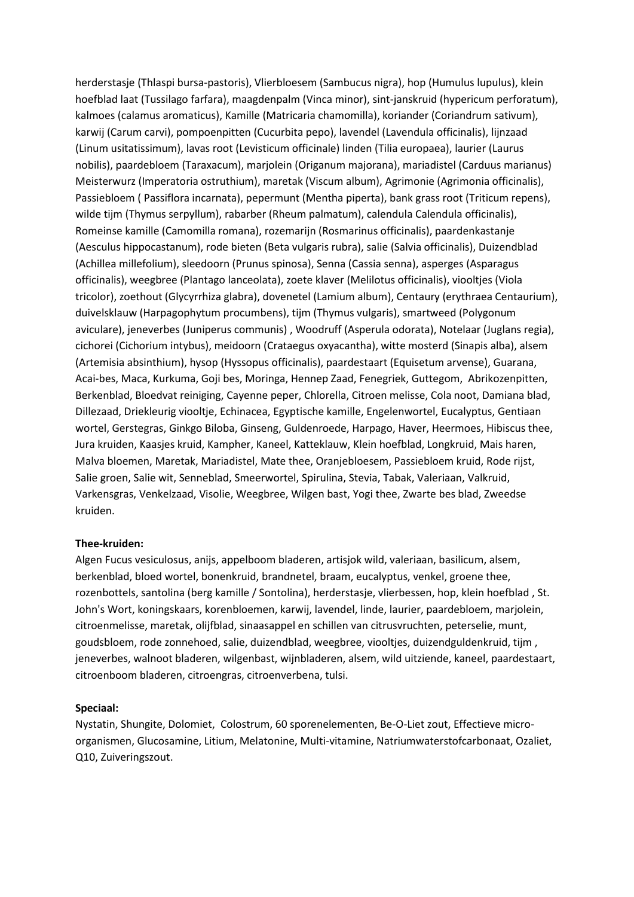herderstasje (Thlaspi bursa-pastoris), Vlierbloesem (Sambucus nigra), hop (Humulus lupulus), klein hoefblad laat (Tussilago farfara), maagdenpalm (Vinca minor), sint-janskruid (hypericum perforatum), kalmoes (calamus aromaticus), Kamille (Matricaria chamomilla), koriander (Coriandrum sativum), karwij (Carum carvi), pompoenpitten (Cucurbita pepo), lavendel (Lavendula officinalis), lijnzaad (Linum usitatissimum), lavas root (Levisticum officinale) linden (Tilia europaea), laurier (Laurus nobilis), paardebloem (Taraxacum), marjolein (Origanum majorana), mariadistel (Carduus marianus) Meisterwurz (Imperatoria ostruthium), maretak (Viscum album), Agrimonie (Agrimonia officinalis), Passiebloem ( Passiflora incarnata), pepermunt (Mentha piperta), bank grass root (Triticum repens), wilde tijm (Thymus serpyllum), rabarber (Rheum palmatum), calendula Calendula officinalis), Romeinse kamille (Camomilla romana), rozemarijn (Rosmarinus officinalis), paardenkastanje (Aesculus hippocastanum), rode bieten (Beta vulgaris rubra), salie (Salvia officinalis), Duizendblad (Achillea millefolium), sleedoorn (Prunus spinosa), Senna (Cassia senna), asperges (Asparagus officinalis), weegbree (Plantago lanceolata), zoete klaver (Melilotus officinalis), viooltjes (Viola tricolor), zoethout (Glycyrrhiza glabra), dovenetel (Lamium album), Centaury (erythraea Centaurium), duivelsklauw (Harpagophytum procumbens), tijm (Thymus vulgaris), smartweed (Polygonum aviculare), jeneverbes (Juniperus communis) , Woodruff (Asperula odorata), Notelaar (Juglans regia), cichorei (Cichorium intybus), meidoorn (Crataegus oxyacantha), witte mosterd (Sinapis alba), alsem (Artemisia absinthium), hysop (Hyssopus officinalis), paardestaart (Equisetum arvense), Guarana, Acai-bes, Maca, Kurkuma, Goji bes, Moringa, Hennep Zaad, Fenegriek, Guttegom, Abrikozenpitten, Berkenblad, Bloedvat reiniging, Cayenne peper, Chlorella, Citroen melisse, Cola noot, Damiana blad, Dillezaad, Driekleurig viooltje, Echinacea, Egyptische kamille, Engelenwortel, Eucalyptus, Gentiaan wortel, Gerstegras, Ginkgo Biloba, Ginseng, Guldenroede, Harpago, Haver, Heermoes, Hibiscus thee, Jura kruiden, Kaasjes kruid, Kampher, Kaneel, Katteklauw, Klein hoefblad, Longkruid, Mais haren, Malva bloemen, Maretak, Mariadistel, Mate thee, Oranjebloesem, Passiebloem kruid, Rode rijst, Salie groen, Salie wit, Senneblad, Smeerwortel, Spirulina, Stevia, Tabak, Valeriaan, Valkruid, Varkensgras, Venkelzaad, Visolie, Weegbree, Wilgen bast, Yogi thee, Zwarte bes blad, Zweedse kruiden.

## **Thee-kruiden:**

Algen Fucus vesiculosus, anijs, appelboom bladeren, artisjok wild, valeriaan, basilicum, alsem, berkenblad, bloed wortel, bonenkruid, brandnetel, braam, eucalyptus, venkel, groene thee, rozenbottels, santolina (berg kamille / Sontolina), herderstasje, vlierbessen, hop, klein hoefblad , St. John's Wort, koningskaars, korenbloemen, karwij, lavendel, linde, laurier, paardebloem, marjolein, citroenmelisse, maretak, olijfblad, sinaasappel en schillen van citrusvruchten, peterselie, munt, goudsbloem, rode zonnehoed, salie, duizendblad, weegbree, viooltjes, duizendguldenkruid, tijm , jeneverbes, walnoot bladeren, wilgenbast, wijnbladeren, alsem, wild uitziende, kaneel, paardestaart, citroenboom bladeren, citroengras, citroenverbena, tulsi.

## **Speciaal:**

Nystatin, Shungite, Dolomiet, Colostrum, 60 sporenelementen, Be-O-Liet zout, Effectieve microorganismen, Glucosamine, Litium, Melatonine, Multi-vitamine, Natriumwaterstofcarbonaat, Ozaliet, Q10, Zuiveringszout.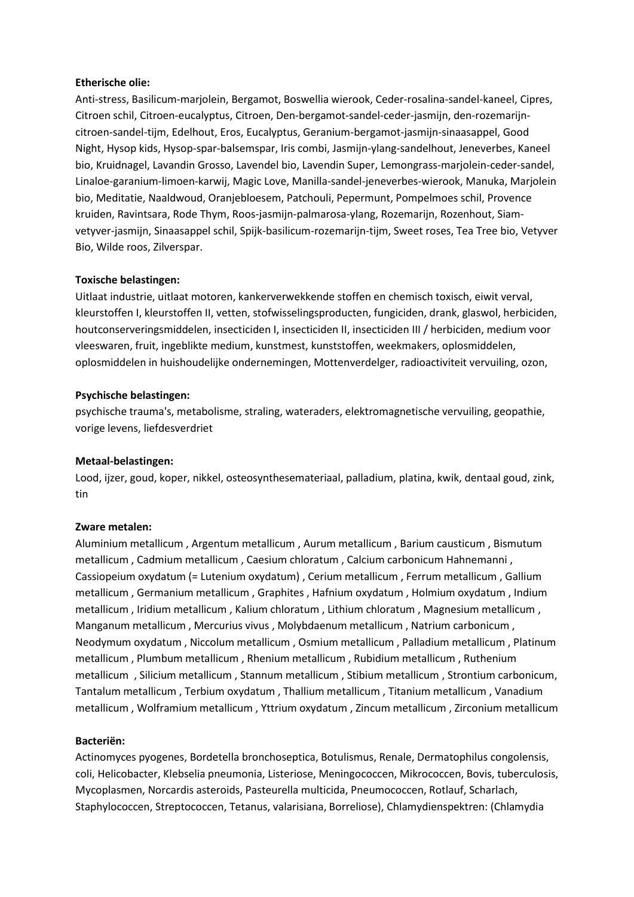## **Etherische olie:**

Anti-stress, Basilicum-marjolein, Bergamot, Boswellia wierook, Ceder-rosalina-sandel-kaneel, Cipres, Citroen schil, Citroen-eucalyptus, Citroen, Den-bergamot-sandel-ceder-jasmijn, den-rozemarijncitroen-sandel-tijm, Edelhout, Eros, Eucalyptus, Geranium-bergamot-jasmijn-sinaasappel, Good Night, Hysop kids, Hysop-spar-balsemspar, Iris combi, Jasmijn-ylang-sandelhout, Jeneverbes, Kaneel bio, Kruidnagel, Lavandin Grosso, Lavendel bio, Lavendin Super, Lemongrass-marjolein-ceder-sandel, Linaloe-garanium-limoen-karwij, Magic Love, Manilla-sandel-jeneverbes-wierook, Manuka, Marjolein bio, Meditatie, Naaldwoud, Oranjebloesem, Patchouli, Pepermunt, Pompelmoes schil, Provence kruiden, Ravintsara, Rode Thym, Roos-jasmijn-palmarosa-ylang, Rozemarijn, Rozenhout, Siamvetyver-jasmijn, Sinaasappel schil, Spijk-basilicum-rozemarijn-tijm, Sweet roses, Tea Tree bio, Vetyver Bio, Wilde roos, Zilverspar.

### **Toxische belastingen:**

Uitlaat industrie, uitlaat motoren, kankerverwekkende stoffen en chemisch toxisch, eiwit verval, kleurstoffen I, kleurstoffen II, vetten, stofwisselingsproducten, fungiciden, drank, glaswol, herbiciden, houtconserveringsmiddelen, insecticiden I, insecticiden II, insecticiden III / herbiciden, medium voor vleeswaren, fruit, ingeblikte medium, kunstmest, kunststoffen, weekmakers, oplosmiddelen, oplosmiddelen in huishoudelijke ondernemingen, Mottenverdelger, radioactiviteit vervuiling, ozon,

### **Psychische belastingen:**

psychische trauma's, metabolisme, straling, wateraders, elektromagnetische vervuiling, geopathie, vorige levens, liefdesverdriet

#### **Metaal-belastingen:**

Lood, ijzer, goud, koper, nikkel, osteosynthesemateriaal, palladium, platina, kwik, dentaal goud, zink, tin

#### **Zware metalen:**

Aluminium metallicum , Argentum metallicum , Aurum metallicum , Barium causticum , Bismutum metallicum , Cadmium metallicum , Caesium chloratum , Calcium carbonicum Hahnemanni , Cassiopeium oxydatum (= Lutenium oxydatum) , Cerium metallicum , Ferrum metallicum , Gallium metallicum , Germanium metallicum , Graphites , Hafnium oxydatum , Holmium oxydatum , Indium metallicum , Iridium metallicum , Kalium chloratum , Lithium chloratum , Magnesium metallicum , Manganum metallicum , Mercurius vivus , Molybdaenum metallicum , Natrium carbonicum , Neodymum oxydatum , Niccolum metallicum , Osmium metallicum , Palladium metallicum , Platinum metallicum , Plumbum metallicum , Rhenium metallicum , Rubidium metallicum , Ruthenium metallicum , Silicium metallicum , Stannum metallicum , Stibium metallicum , Strontium carbonicum, Tantalum metallicum , Terbium oxydatum , Thallium metallicum , Titanium metallicum , Vanadium metallicum , Wolframium metallicum , Yttrium oxydatum , Zincum metallicum , Zirconium metallicum

#### **Bacteriën:**

Actinomyces pyogenes, Bordetella bronchoseptica, Botulismus, Renale, Dermatophilus congolensis, coli, Helicobacter, Klebselia pneumonia, Listeriose, Meningococcen, Mikrococcen, Bovis, tuberculosis, Mycoplasmen, Norcardis asteroids, Pasteurella multicida, Pneumococcen, Rotlauf, Scharlach, Staphylococcen, Streptococcen, Tetanus, valarisiana, Borreliose), Chlamydienspektren: (Chlamydia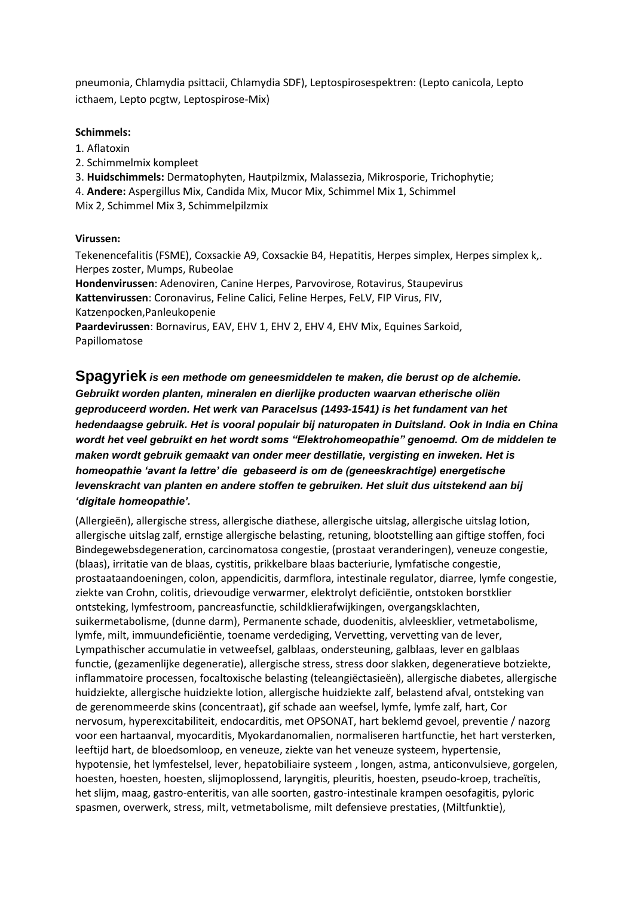pneumonia, Chlamydia psittacii, Chlamydia SDF), Leptospirosespektren: (Lepto canicola, Lepto icthaem, Lepto pcgtw, Leptospirose-Mix)

## **Schimmels:**

- 1. Aflatoxin
- 2. Schimmelmix kompleet

3. **Huidschimmels:** Dermatophyten, Hautpilzmix, Malassezia, Mikrosporie, Trichophytie; 4. **Andere:** Aspergillus Mix, Candida Mix, Mucor Mix, Schimmel Mix 1, Schimmel Mix 2, Schimmel Mix 3, Schimmelpilzmix

## **Virussen:**

Tekenencefalitis (FSME), Coxsackie A9, Coxsackie B4, Hepatitis, Herpes simplex, Herpes simplex k,. Herpes zoster, Mumps, Rubeolae

**Hondenvirussen**: Adenoviren, Canine Herpes, Parvovirose, Rotavirus, Staupevirus **Kattenvirussen**: Coronavirus, Feline Calici, Feline Herpes, FeLV, FIP Virus, FIV, Katzenpocken,Panleukopenie

**Paardevirussen**: Bornavirus, EAV, EHV 1, EHV 2, EHV 4, EHV Mix, Equines Sarkoid, Papillomatose

**Spagyriek** *is een methode om geneesmiddelen te maken, die berust op de alchemie. Gebruikt worden planten, mineralen en dierlijke producten waarvan etherische oliën geproduceerd worden. Het werk van Paracelsus (1493-1541) is het fundament van het hedendaagse gebruik. Het is vooral populair bij naturopaten in Duitsland. Ook in India en China wordt het veel gebruikt en het wordt soms "Elektrohomeopathie" genoemd. Om de middelen te maken wordt gebruik gemaakt van onder meer destillatie, vergisting en inweken. Het is homeopathie 'avant la lettre' die gebaseerd is om de (geneeskrachtige) energetische levenskracht van planten en andere stoffen te gebruiken. Het sluit dus uitstekend aan bij 'digitale homeopathie'.*

(Allergieën), allergische stress, allergische diathese, allergische uitslag, allergische uitslag lotion, allergische uitslag zalf, ernstige allergische belasting, retuning, blootstelling aan giftige stoffen, foci Bindegewebsdegeneration, carcinomatosa congestie, (prostaat veranderingen), veneuze congestie, (blaas), irritatie van de blaas, cystitis, prikkelbare blaas bacteriurie, lymfatische congestie, prostaataandoeningen, colon, appendicitis, darmflora, intestinale regulator, diarree, lymfe congestie, ziekte van Crohn, colitis, drievoudige verwarmer, elektrolyt deficiëntie, ontstoken borstklier ontsteking, lymfestroom, pancreasfunctie, schildklierafwijkingen, overgangsklachten, suikermetabolisme, (dunne darm), Permanente schade, duodenitis, alvleesklier, vetmetabolisme, lymfe, milt, immuundeficiëntie, toename verdediging, Vervetting, vervetting van de lever, Lympathischer accumulatie in vetweefsel, galblaas, ondersteuning, galblaas, lever en galblaas functie, (gezamenlijke degeneratie), allergische stress, stress door slakken, degeneratieve botziekte, inflammatoire processen, focaltoxische belasting (teleangiëctasieën), allergische diabetes, allergische huidziekte, allergische huidziekte lotion, allergische huidziekte zalf, belastend afval, ontsteking van de gerenommeerde skins (concentraat), gif schade aan weefsel, lymfe, lymfe zalf, hart, Cor nervosum, hyperexcitabiliteit, endocarditis, met OPSONAT, hart beklemd gevoel, preventie / nazorg voor een hartaanval, myocarditis, Myokardanomalien, normaliseren hartfunctie, het hart versterken, leeftijd hart, de bloedsomloop, en veneuze, ziekte van het veneuze systeem, hypertensie, hypotensie, het lymfestelsel, lever, hepatobiliaire systeem , longen, astma, anticonvulsieve, gorgelen, hoesten, hoesten, hoesten, slijmoplossend, laryngitis, pleuritis, hoesten, pseudo-kroep, tracheïtis, het slijm, maag, gastro-enteritis, van alle soorten, gastro-intestinale krampen oesofagitis, pyloric spasmen, overwerk, stress, milt, vetmetabolisme, milt defensieve prestaties, (Miltfunktie),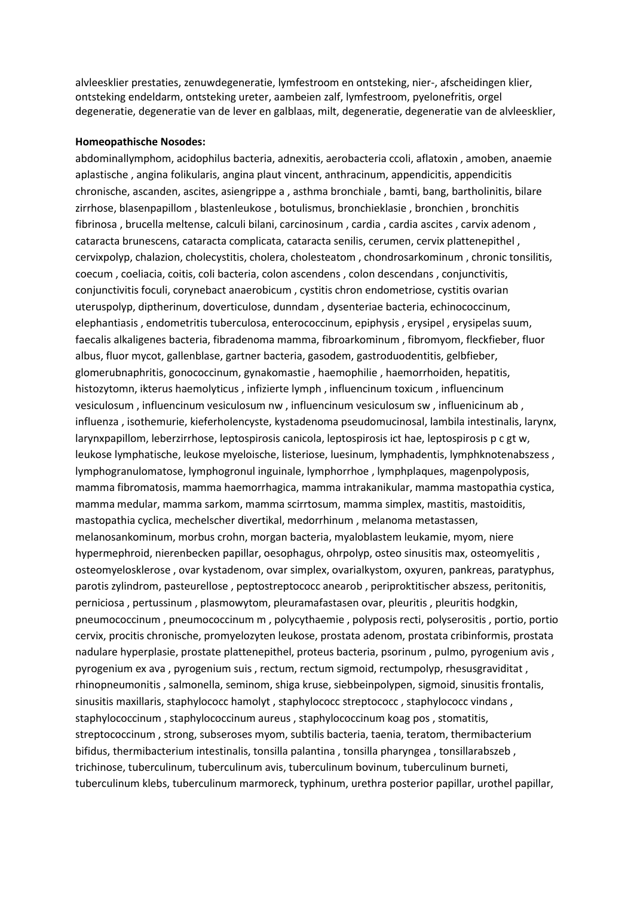alvleesklier prestaties, zenuwdegeneratie, lymfestroom en ontsteking, nier-, afscheidingen klier, ontsteking endeldarm, ontsteking ureter, aambeien zalf, lymfestroom, pyelonefritis, orgel degeneratie, degeneratie van de lever en galblaas, milt, degeneratie, degeneratie van de alvleesklier,

#### **Homeopathische Nosodes:**

abdominallymphom, acidophilus bacteria, adnexitis, aerobacteria ccoli, aflatoxin , amoben, anaemie aplastische , angina folikularis, angina plaut vincent, anthracinum, appendicitis, appendicitis chronische, ascanden, ascites, asiengrippe a , asthma bronchiale , bamti, bang, bartholinitis, bilare zirrhose, blasenpapillom , blastenleukose , botulismus, bronchieklasie , bronchien , bronchitis fibrinosa , brucella meltense, calculi bilani, carcinosinum , cardia , cardia ascites , carvix adenom , cataracta brunescens, cataracta complicata, cataracta senilis, cerumen, cervix plattenepithel , cervixpolyp, chalazion, cholecystitis, cholera, cholesteatom , chondrosarkominum , chronic tonsilitis, coecum , coeliacia, coitis, coli bacteria, colon ascendens , colon descendans , conjunctivitis, conjunctivitis foculi, corynebact anaerobicum , cystitis chron endometriose, cystitis ovarian uteruspolyp, diptherinum, doverticulose, dunndam , dysenteriae bacteria, echinococcinum, elephantiasis, endometritis tuberculosa, enterococcinum, epiphysis, erysipel, erysipelas suum, faecalis alkaligenes bacteria, fibradenoma mamma, fibroarkominum , fibromyom, fleckfieber, fluor albus, fluor mycot, gallenblase, gartner bacteria, gasodem, gastroduodentitis, gelbfieber, glomerubnaphritis, gonococcinum, gynakomastie , haemophilie , haemorrhoiden, hepatitis, histozytomn, ikterus haemolyticus , infizierte lymph , influencinum toxicum , influencinum vesiculosum , influencinum vesiculosum nw , influencinum vesiculosum sw , influenicinum ab , influenza , isothemurie, kieferholencyste, kystadenoma pseudomucinosal, lambila intestinalis, larynx, larynxpapillom, leberzirrhose, leptospirosis canicola, leptospirosis ict hae, leptospirosis p c gt w, leukose lymphatische, leukose myeloische, listeriose, luesinum, lymphadentis, lymphknotenabszess , lymphogranulomatose, lymphogronul inguinale, lymphorrhoe , lymphplaques, magenpolyposis, mamma fibromatosis, mamma haemorrhagica, mamma intrakanikular, mamma mastopathia cystica, mamma medular, mamma sarkom, mamma scirrtosum, mamma simplex, mastitis, mastoiditis, mastopathia cyclica, mechelscher divertikal, medorrhinum , melanoma metastassen, melanosankominum, morbus crohn, morgan bacteria, myaloblastem leukamie, myom, niere hypermephroid, nierenbecken papillar, oesophagus, ohrpolyp, osteo sinusitis max, osteomyelitis , osteomyelosklerose , ovar kystadenom, ovar simplex, ovarialkystom, oxyuren, pankreas, paratyphus, parotis zylindrom, pasteurellose , peptostreptococc anearob , periproktitischer abszess, peritonitis, perniciosa , pertussinum , plasmowytom, pleuramafastasen ovar, pleuritis , pleuritis hodgkin, pneumococcinum , pneumococcinum m , polycythaemie , polyposis recti, polyserositis , portio, portio cervix, procitis chronische, promyelozyten leukose, prostata adenom, prostata cribinformis, prostata nadulare hyperplasie, prostate plattenepithel, proteus bacteria, psorinum , pulmo, pyrogenium avis , pyrogenium ex ava , pyrogenium suis , rectum, rectum sigmoid, rectumpolyp, rhesusgraviditat , rhinopneumonitis , salmonella, seminom, shiga kruse, siebbeinpolypen, sigmoid, sinusitis frontalis, sinusitis maxillaris, staphylococc hamolyt , staphylococc streptococc , staphylococc vindans , staphylococcinum , staphylococcinum aureus , staphylococcinum koag pos , stomatitis, streptococcinum , strong, subseroses myom, subtilis bacteria, taenia, teratom, thermibacterium bifidus, thermibacterium intestinalis, tonsilla palantina , tonsilla pharyngea , tonsillarabszeb , trichinose, tuberculinum, tuberculinum avis, tuberculinum bovinum, tuberculinum burneti, tuberculinum klebs, tuberculinum marmoreck, typhinum, urethra posterior papillar, urothel papillar,